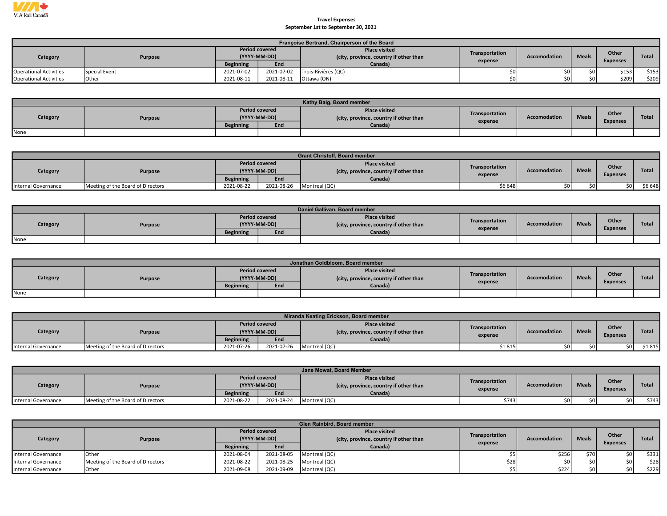

## Travel Expenses September 1st to September 30, 2021

|                               | Françoise Bertrand, Chairperson of the Board |                                       |            |                                                                |                |              |              |                 |       |  |  |  |  |  |
|-------------------------------|----------------------------------------------|---------------------------------------|------------|----------------------------------------------------------------|----------------|--------------|--------------|-----------------|-------|--|--|--|--|--|
| Category                      | Purpose                                      | <b>Period covered</b><br>(YYYY-MM-DD) |            | <b>Place visited</b><br>(city, province, country if other than | Transportation | Accomodation | <b>Meals</b> | Other           | Total |  |  |  |  |  |
|                               |                                              | <b>Beginning</b>                      | End        | Canada)                                                        | expense        |              |              | <b>Expenses</b> |       |  |  |  |  |  |
| <b>Operational Activities</b> | Special Event                                | 2021-07-02                            | 2021-07-02 | Trois-Rivières (QC)                                            |                | \$0 l        |              | \$153           | \$153 |  |  |  |  |  |
| <b>Operational Activities</b> | <b>Other</b>                                 | 2021-08-11                            | 2021-08-11 | 'Ottawa (ON)                                                   |                | SO I         |              | \$209           | \$209 |  |  |  |  |  |

|          | Kathy Baig, Board member |                                       |     |                                                                |                |                     |              |                 |              |  |  |  |  |
|----------|--------------------------|---------------------------------------|-----|----------------------------------------------------------------|----------------|---------------------|--------------|-----------------|--------------|--|--|--|--|
| Category | Purpose                  | <b>Period covered</b><br>(YYYY-MM-DD) |     | <b>Place visited</b><br>(city, province, country if other than | Transportation | <b>Accomodation</b> | <b>Meals</b> | Other           | <b>Total</b> |  |  |  |  |
|          |                          | <b>Beginning</b>                      | End | Canada)                                                        | expense        |                     |              | <b>Expenses</b> |              |  |  |  |  |
| None     |                          |                                       |     |                                                                |                |                     |              |                 |              |  |  |  |  |

|                     | <b>Grant Christoff, Board member</b> |                  |                                       |                                                                |                |              |              |                 |              |  |  |  |  |  |
|---------------------|--------------------------------------|------------------|---------------------------------------|----------------------------------------------------------------|----------------|--------------|--------------|-----------------|--------------|--|--|--|--|--|
| Category            | Purpose                              |                  | <b>Period covered</b><br>(YYYY-MM-DD) | <b>Place visited</b><br>(city, province, country if other than | Transportation | Accomodation | <b>Meals</b> | Other           | <b>Total</b> |  |  |  |  |  |
|                     |                                      | <b>Beginning</b> | End                                   | Canada)                                                        | expense        |              |              | <b>Expenses</b> |              |  |  |  |  |  |
| Internal Governance | Meeting of the Board of Directors    | 2021-08-22       | 2021-08-26                            | Montreal (QC)                                                  | \$6 648        |              | sn i         | \$0 l           | \$6 648      |  |  |  |  |  |

|          |         |                                       |     | Daniel Gallivan, Board member                                  |                |                     |              |                 |              |
|----------|---------|---------------------------------------|-----|----------------------------------------------------------------|----------------|---------------------|--------------|-----------------|--------------|
| Category | Purpose | <b>Period covered</b><br>(YYYY-MM-DD) |     | <b>Place visited</b><br>(city, province, country if other than | Transportation | <b>Accomodation</b> | <b>Meals</b> | Other           | <b>Total</b> |
|          |         | <b>Beginning</b>                      | End | Canada)                                                        | expense        |                     |              | <b>Expenses</b> |              |
| None     |         |                                       |     |                                                                |                |                     |              |                 |              |

|          | Jonathan Goldbloom, Board member |                  |                                       |                                                                |                |                     |              |                 |              |  |  |  |  |
|----------|----------------------------------|------------------|---------------------------------------|----------------------------------------------------------------|----------------|---------------------|--------------|-----------------|--------------|--|--|--|--|
| Category | Purpose                          |                  | <b>Period covered</b><br>(YYYY-MM-DD) | <b>Place visited</b><br>(city, province, country if other than | Transportation | <b>Accomodation</b> | <b>Meals</b> | Other           | <b>Total</b> |  |  |  |  |
|          |                                  | <b>Beginning</b> | End                                   | Canada)                                                        | expense        |                     |              | <b>Expenses</b> |              |  |  |  |  |
| None     |                                  |                  |                                       |                                                                |                |                     |              |                 |              |  |  |  |  |

|                     |                                   |                  |                                       | Miranda Keating Erickson, Board member                         |                |                     |              |                          |              |
|---------------------|-----------------------------------|------------------|---------------------------------------|----------------------------------------------------------------|----------------|---------------------|--------------|--------------------------|--------------|
| Category            | Purpose                           |                  | <b>Period covered</b><br>(YYYY-MM-DD) | <b>Place visited</b><br>(city, province, country if other than | Transportation | <b>Accomodation</b> | <b>Meals</b> | Other<br><b>Expenses</b> | <b>Total</b> |
|                     |                                   | <b>Beginning</b> | End                                   | Canada)                                                        | expense        |                     |              |                          |              |
| Internal Governance | Meeting of the Board of Directors | 2021-07-26       | 2021-07-26                            | Montreal (QC)                                                  | \$1815         |                     | so i         | \$0 l                    | \$1815       |

|                     | Jane Mowat, Board Member          |                                       |            |                                                               |                           |                     |              |                          |              |  |  |  |  |
|---------------------|-----------------------------------|---------------------------------------|------------|---------------------------------------------------------------|---------------------------|---------------------|--------------|--------------------------|--------------|--|--|--|--|
| Category            | Purpose                           | <b>Period covered</b><br>(YYYY-MM-DD) |            | <b>Place visited</b><br>city, province, country if other than | Transportation<br>expense | <b>Accomodation</b> | <b>Meals</b> | Other<br><b>Expenses</b> | <b>Total</b> |  |  |  |  |
|                     |                                   | <b>Beginning</b>                      | End        | Canada)                                                       |                           |                     |              |                          |              |  |  |  |  |
| Internal Governance | Meeting of the Board of Directors | 2021-08-22                            | 2021-08-24 | Montreal (QC)                                                 | \$743                     |                     |              |                          | \$743        |  |  |  |  |

|                     | <b>Glen Rainbird, Board member</b> |                       |              |                                                                |                |                     |              |                 |              |  |  |  |
|---------------------|------------------------------------|-----------------------|--------------|----------------------------------------------------------------|----------------|---------------------|--------------|-----------------|--------------|--|--|--|
| Category            | Purpose                            | <b>Period covered</b> | (YYYY-MM-DD) | <b>Place visited</b><br>(city, province, country if other than | Transportation | <b>Accomodation</b> | <b>Meals</b> | Other           | <b>Total</b> |  |  |  |
|                     |                                    | <b>Beginning</b>      | End          | Canada)                                                        | expense        |                     |              | <b>Expenses</b> |              |  |  |  |
| Internal Governance | <b>Other</b>                       | 2021-08-04            | 2021-08-05   | Montreal (QC)                                                  |                | \$256               | \$70 l       | \$0 l           | \$331        |  |  |  |
| Internal Governance | Meeting of the Board of Directors  | 2021-08-22            | 2021-08-25   | Montreal (QC)                                                  | \$28           |                     | \$0 l        | so I            | \$28]        |  |  |  |
| Internal Governance | <b>Other</b>                       | 2021-09-08            | 2021-09-09   | Montreal (QC)                                                  |                | \$224               | sn i         | sol             | \$229        |  |  |  |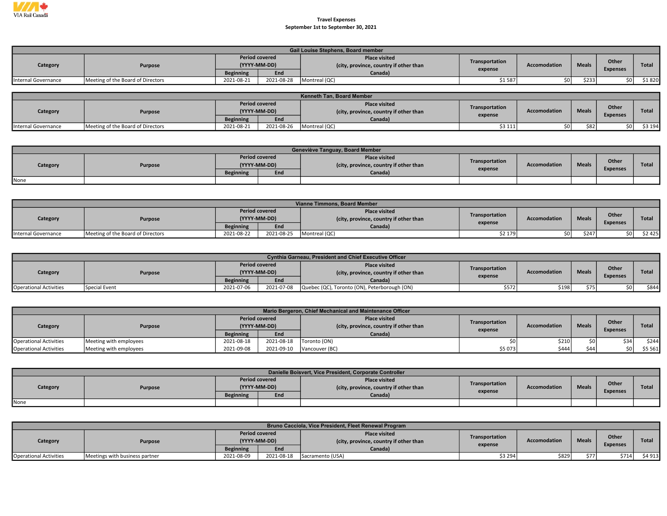

## Travel Expenses September 1st to September 30, 2021

|                     |                                   |                  |                       | <b>Gail Louise Stephens, Board member</b>                      |                |                     |              |                 |              |
|---------------------|-----------------------------------|------------------|-----------------------|----------------------------------------------------------------|----------------|---------------------|--------------|-----------------|--------------|
| Category            | Purpose                           | (YYYY-MM-DD)     | <b>Period covered</b> | <b>Place visited</b><br>(city, province, country if other than | Transportation | <b>Accomodation</b> | <b>Meals</b> | Other           | <b>Total</b> |
|                     |                                   | <b>Beginning</b> | End                   | Canada)                                                        | expense        |                     |              | <b>Expenses</b> |              |
| Internal Governance | Meeting of the Board of Directors | 2021-08-21       | 2021-08-28            | Montreal (QC)                                                  | \$1587         |                     | \$233        |                 | \$1 820      |

|                     | Kenneth Tan, Board Member         |                       |              |                                                                |                           |                     |              |                          |         |  |  |  |  |
|---------------------|-----------------------------------|-----------------------|--------------|----------------------------------------------------------------|---------------------------|---------------------|--------------|--------------------------|---------|--|--|--|--|
| Category            | Purpose                           | <b>Period covered</b> | (YYYY-MM-DD) | <b>Place visited</b><br>(city, province, country if other than | Transportation<br>expense | <b>Accomodation</b> | <b>Meals</b> | Other<br><b>Expenses</b> | Total   |  |  |  |  |
|                     |                                   | <b>Beginning</b>      | End          | Canada)                                                        |                           |                     |              |                          |         |  |  |  |  |
| Internal Governance | Meeting of the Board of Directors | 2021-08-21            | 2021-08-26   | Montreal (QC)                                                  | \$3 111                   |                     | \$82         | \$0 l                    | \$3 194 |  |  |  |  |

|          |         |                  |                                       | Geneviève Tanguay, Board Member                                |                |              |              |                 |              |
|----------|---------|------------------|---------------------------------------|----------------------------------------------------------------|----------------|--------------|--------------|-----------------|--------------|
| Category | Purpose |                  | <b>Period covered</b><br>(YYYY-MM-DD) | <b>Place visited</b><br>(city, province, country if other than | Transportation | Accomodation | <b>Meals</b> | Other           | <b>Total</b> |
|          |         | <b>Beginning</b> | End                                   | Canada)                                                        | expense        |              |              | <b>Expenses</b> |              |
| None     |         |                  |                                       |                                                                |                |              |              |                 |              |

|                     | Vianne Timmons, Board Member      |                                       |            |                                                                |                |                     |              |                 |              |  |  |  |  |
|---------------------|-----------------------------------|---------------------------------------|------------|----------------------------------------------------------------|----------------|---------------------|--------------|-----------------|--------------|--|--|--|--|
| Category            | <b>Purpose</b>                    | <b>Period covered</b><br>(YYYY-MM-DD) |            | <b>Place visited</b><br>(city, province, country if other than | Transportation | <b>Accomodation</b> | <b>Meals</b> | Other           | <b>Total</b> |  |  |  |  |
|                     |                                   | <b>Beginning</b>                      | End        | Canada)                                                        | expense        |                     |              | <b>Expenses</b> |              |  |  |  |  |
| Internal Governance | Meeting of the Board of Directors | 2021-08-22                            | 2021-08-25 | Montreal (QC)                                                  | \$2 179        |                     | \$247        |                 | \$2425       |  |  |  |  |

|                               |                |                  |                                       | <b>Cynthia Garneau, President and Chief Executive Officer</b>  |                |                     |              |                 |              |
|-------------------------------|----------------|------------------|---------------------------------------|----------------------------------------------------------------|----------------|---------------------|--------------|-----------------|--------------|
| Category                      | <b>Purpose</b> |                  | <b>Period covered</b><br>(YYYY-MM-DD) | <b>Place visited</b><br>(city, province, country if other than | Transportation | <b>Accomodation</b> | <b>Meals</b> | Other           | <b>Total</b> |
|                               |                | <b>Beginning</b> | End                                   | Canada)                                                        | expense        |                     |              | <b>Expenses</b> |              |
| <b>Operational Activities</b> | Special Event  | 2021-07-06       | 2021-07-08                            | Quebec (QC), Toronto (ON), Peterborough (ON)                   | \$572          | \$198               |              |                 | \$844        |

|                               | Mario Bergeron, Chief Mechanical and Maintenance Officer |                  |                                       |                                                               |                           |                     |              |                 |              |  |  |  |
|-------------------------------|----------------------------------------------------------|------------------|---------------------------------------|---------------------------------------------------------------|---------------------------|---------------------|--------------|-----------------|--------------|--|--|--|
| Category                      | <b>Purpose</b>                                           |                  | <b>Period covered</b><br>(YYYY-MM-DD) | <b>Place visited</b><br>city, province, country if other than | Transportation<br>expense | <b>Accomodation</b> | <b>Meals</b> | Other           | <b>Total</b> |  |  |  |
|                               |                                                          | <b>Beginning</b> | End                                   | Canada)                                                       |                           |                     |              | <b>Expenses</b> |              |  |  |  |
| <b>Operational Activities</b> | Meeting with employees                                   | 2021-08-18       | 2021-08-18                            | Toronto (ON)                                                  |                           | \$210               |              | \$34            | \$244        |  |  |  |
| <b>Operational Activities</b> | Meeting with employees                                   | 2021-09-08       | 2021-09-10                            | Vancouver (BC)                                                | \$5 073                   | \$444               | <b>\$44</b>  | so l            | \$5 5 6 1    |  |  |  |

|          | Danielle Boisvert, Vice President, Corporate Controller |                                       |  |                                                                |                |                     |              |                 |              |  |  |  |  |
|----------|---------------------------------------------------------|---------------------------------------|--|----------------------------------------------------------------|----------------|---------------------|--------------|-----------------|--------------|--|--|--|--|
| Category | Purpose                                                 | <b>Period covered</b><br>(YYYY-MM-DD) |  | <b>Place visited</b><br>(city, province, country if other than | Transportation | <b>Accomodation</b> | <b>Meals</b> | Other           | <b>Total</b> |  |  |  |  |
|          |                                                         | End<br><b>Beginning</b>               |  | Canada)                                                        | expense        |                     |              | <b>Expenses</b> |              |  |  |  |  |
| None     |                                                         |                                       |  |                                                                |                |                     |              |                 |              |  |  |  |  |

|                               |                                |                       |              | Bruno Cacciola, Vice President, Fleet Renewal Program          |                |              |              |                          |              |
|-------------------------------|--------------------------------|-----------------------|--------------|----------------------------------------------------------------|----------------|--------------|--------------|--------------------------|--------------|
| Category                      | Purpose                        | <b>Period covered</b> | (YYYY-MM-DD) | <b>Place visited</b><br>(city, province, country if other than | Transportation | Accomodation | <b>Meals</b> | Other<br><b>Expenses</b> | <b>Total</b> |
|                               |                                | <b>Beginning</b>      | End          | Canada)                                                        | expense        |              |              |                          |              |
| <b>Operational Activities</b> | Meetings with business partner | 2021-08-09            | 2021-08-18   | Sacramento (USA)                                               | \$3 294        | \$829        | \$77         | \$714                    | \$4 913      |